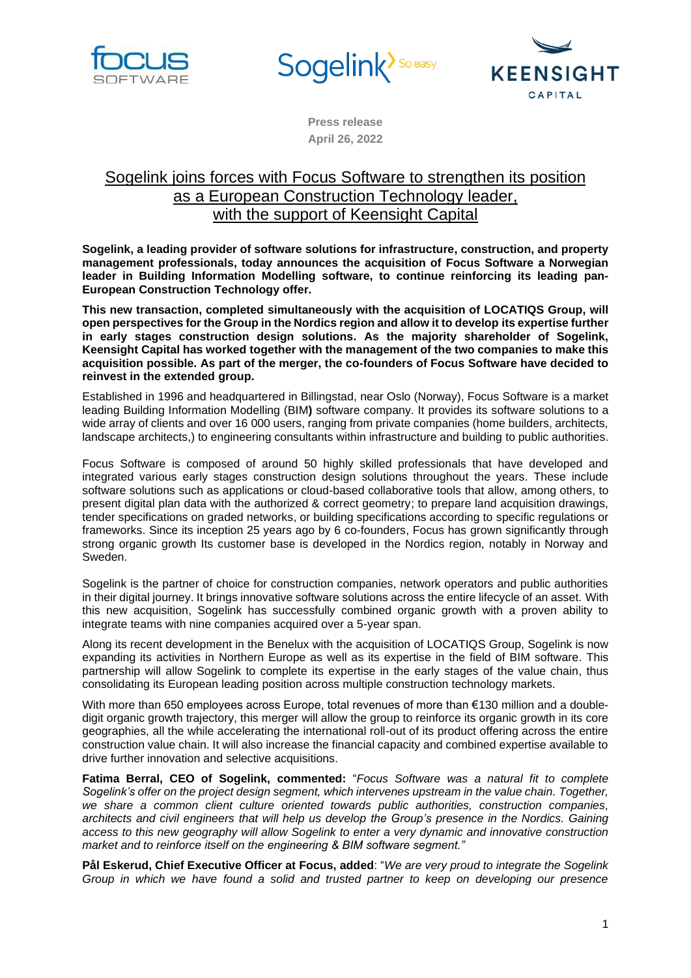





**Press release April 26, 2022**

## Sogelink joins forces with Focus Software to strengthen its position as a European Construction Technology leader, with the support of Keensight Capital

**Sogelink, a leading provider of software solutions for infrastructure, construction, and property management professionals, today announces the acquisition of Focus Software a Norwegian leader in Building Information Modelling software, to continue reinforcing its leading pan-European Construction Technology offer.**

**This new transaction, completed simultaneously with the acquisition of LOCATIQS Group, will open perspectives for the Group in the Nordics region and allow it to develop its expertise further in early stages construction design solutions. As the majority shareholder of Sogelink, Keensight Capital has worked together with the management of the two companies to make this acquisition possible. As part of the merger, the co-founders of Focus Software have decided to reinvest in the extended group.**

Established in 1996 and headquartered in Billingstad, near Oslo (Norway), Focus Software is a market leading Building Information Modelling (BIM**)** software company. It provides its software solutions to a wide array of clients and over 16 000 users, ranging from private companies (home builders, architects, landscape architects,) to engineering consultants within infrastructure and building to public authorities.

Focus Software is composed of around 50 highly skilled professionals that have developed and integrated various early stages construction design solutions throughout the years. These include software solutions such as applications or cloud-based collaborative tools that allow, among others, to present digital plan data with the authorized & correct geometry; to prepare land acquisition drawings, tender specifications on graded networks, or building specifications according to specific regulations or frameworks. Since its inception 25 years ago by 6 co-founders, Focus has grown significantly through strong organic growth Its customer base is developed in the Nordics region, notably in Norway and Sweden.

Sogelink is the partner of choice for construction companies, network operators and public authorities in their digital journey. It brings innovative software solutions across the entire lifecycle of an asset. With this new acquisition, Sogelink has successfully combined organic growth with a proven ability to integrate teams with nine companies acquired over a 5-year span.

Along its recent development in the Benelux with the acquisition of LOCATIQS Group, Sogelink is now expanding its activities in Northern Europe as well as its expertise in the field of BIM software. This partnership will allow Sogelink to complete its expertise in the early stages of the value chain, thus consolidating its European leading position across multiple construction technology markets.

With more than 650 employees across Europe, total revenues of more than €130 million and a doubledigit organic growth trajectory, this merger will allow the group to reinforce its organic growth in its core geographies, all the while accelerating the international roll-out of its product offering across the entire construction value chain. It will also increase the financial capacity and combined expertise available to drive further innovation and selective acquisitions.

**Fatima Berral, CEO of Sogelink, commented:** "*Focus Software was a natural fit to complete Sogelink's offer on the project design segment, which intervenes upstream in the value chain. Together, we share a common client culture oriented towards public authorities, construction companies, architects and civil engineers that will help us develop the Group's presence in the Nordics. Gaining access to this new geography will allow Sogelink to enter a very dynamic and innovative construction market and to reinforce itself on the engineering & BIM software segment."* 

**Pål Eskerud, Chief Executive Officer at Focus, added**: "*We are very proud to integrate the Sogelink Group in which we have found a solid and trusted partner to keep on developing our presence*